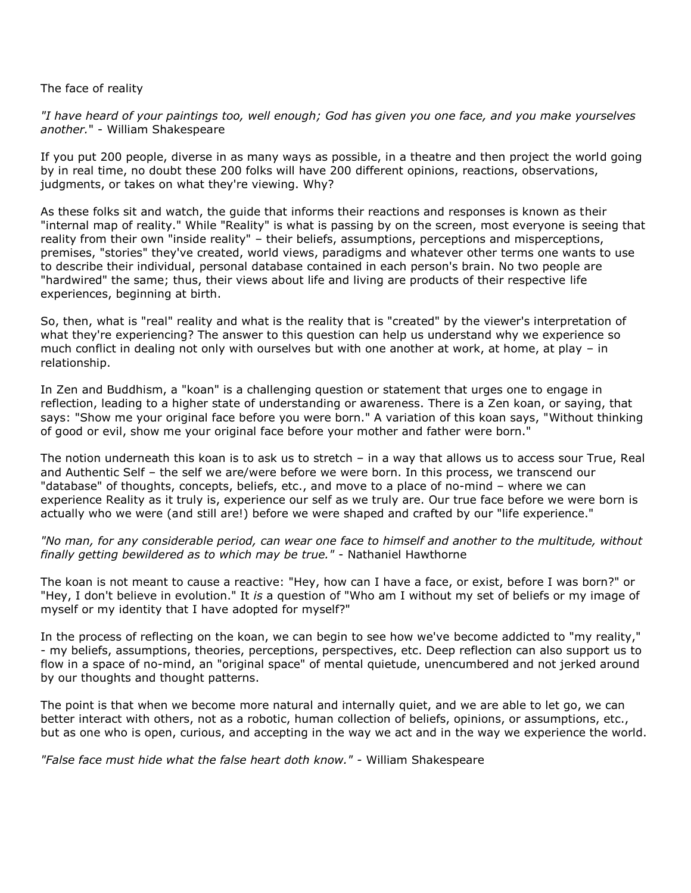## The face of reality

*"I have heard of your paintings too, well enough; God has given you one face, and you make yourselves another.*" - William Shakespeare

If you put 200 people, diverse in as many ways as possible, in a theatre and then project the world going by in real time, no doubt these 200 folks will have 200 different opinions, reactions, observations, judgments, or takes on what they're viewing. Why?

As these folks sit and watch, the guide that informs their reactions and responses is known as their "internal map of reality." While "Reality" is what is passing by on the screen, most everyone is seeing that reality from their own "inside reality" – their beliefs, assumptions, perceptions and misperceptions, premises, "stories" they've created, world views, paradigms and whatever other terms one wants to use to describe their individual, personal database contained in each person's brain. No two people are "hardwired" the same; thus, their views about life and living are products of their respective life experiences, beginning at birth.

So, then, what is "real" reality and what is the reality that is "created" by the viewer's interpretation of what they're experiencing? The answer to this question can help us understand why we experience so much conflict in dealing not only with ourselves but with one another at work, at home, at play – in relationship.

In Zen and Buddhism, a "koan" is a challenging question or statement that urges one to engage in reflection, leading to a higher state of understanding or awareness. There is a Zen koan, or saying, that says: "Show me your original face before you were born." A variation of this koan says, "Without thinking of good or evil, show me your original face before your mother and father were born."

The notion underneath this koan is to ask us to stretch – in a way that allows us to access sour True, Real and Authentic Self – the self we are/were before we were born. In this process, we transcend our "database" of thoughts, concepts, beliefs, etc., and move to a place of no-mind – where we can experience Reality as it truly is, experience our self as we truly are. Our true face before we were born is actually who we were (and still are!) before we were shaped and crafted by our "life experience."

*"No man, for any considerable period, can wear one face to himself and another to the multitude, without finally getting bewildered as to which may be true."* - Nathaniel Hawthorne

The koan is not meant to cause a reactive: "Hey, how can I have a face, or exist, before I was born?" or "Hey, I don't believe in evolution." It *is* a question of "Who am I without my set of beliefs or my image of myself or my identity that I have adopted for myself?"

In the process of reflecting on the koan, we can begin to see how we've become addicted to "my reality," - my beliefs, assumptions, theories, perceptions, perspectives, etc. Deep reflection can also support us to flow in a space of no-mind, an "original space" of mental quietude, unencumbered and not jerked around by our thoughts and thought patterns.

The point is that when we become more natural and internally quiet, and we are able to let go, we can better interact with others, not as a robotic, human collection of beliefs, opinions, or assumptions, etc., but as one who is open, curious, and accepting in the way we act and in the way we experience the world.

*"False face must hide what the false heart doth know." -* William Shakespeare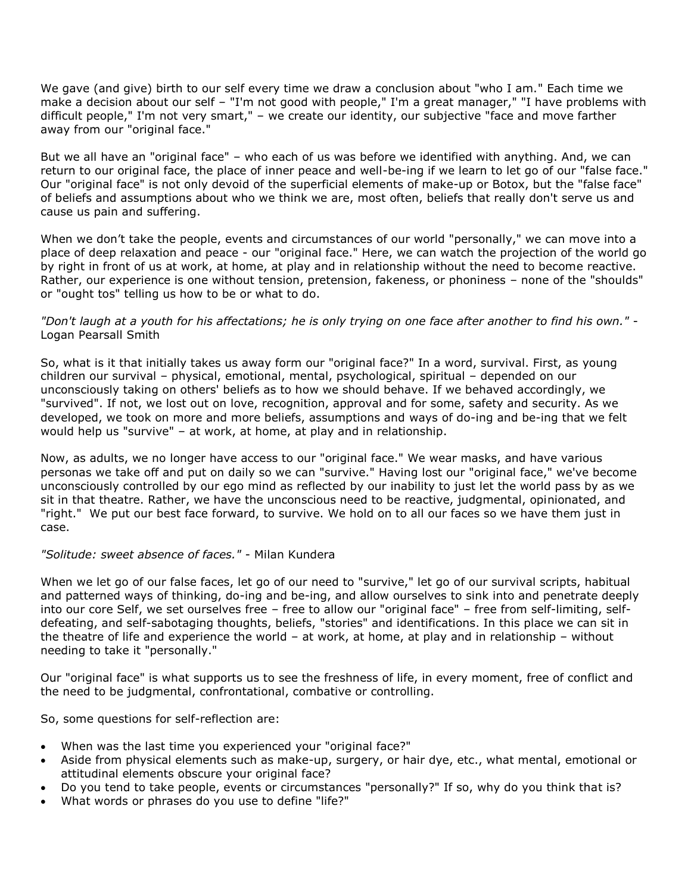We gave (and give) birth to our self every time we draw a conclusion about "who I am." Each time we make a decision about our self – "I'm not good with people," I'm a great manager," "I have problems with difficult people," I'm not very smart," – we create our identity, our subjective "face and move farther away from our "original face."

But we all have an "original face" – who each of us was before we identified with anything. And, we can return to our original face, the place of inner peace and well-be-ing if we learn to let go of our "false face." Our "original face" is not only devoid of the superficial elements of make-up or Botox, but the "false face" of beliefs and assumptions about who we think we are, most often, beliefs that really don't serve us and cause us pain and suffering.

When we don't take the people, events and circumstances of our world "personally," we can move into a place of deep relaxation and peace - our "original face." Here, we can watch the projection of the world go by right in front of us at work, at home, at play and in relationship without the need to become reactive. Rather, our experience is one without tension, pretension, fakeness, or phoniness – none of the "shoulds" or "ought tos" telling us how to be or what to do.

## *"Don't laugh at a youth for his affectations; he is only trying on one face after another to find his own."* - Logan Pearsall Smith

So, what is it that initially takes us away form our "original face?" In a word, survival. First, as young children our survival – physical, emotional, mental, psychological, spiritual – depended on our unconsciously taking on others' beliefs as to how we should behave. If we behaved accordingly, we "survived". If not, we lost out on love, recognition, approval and for some, safety and security. As we developed, we took on more and more beliefs, assumptions and ways of do-ing and be-ing that we felt would help us "survive" – at work, at home, at play and in relationship.

Now, as adults, we no longer have access to our "original face." We wear masks, and have various personas we take off and put on daily so we can "survive." Having lost our "original face," we've become unconsciously controlled by our ego mind as reflected by our inability to just let the world pass by as we sit in that theatre. Rather, we have the unconscious need to be reactive, judgmental, opinionated, and "right." We put our best face forward, to survive. We hold on to all our faces so we have them just in case.

## *"Solitude: sweet absence of faces."* - Milan Kundera

When we let go of our false faces, let go of our need to "survive," let go of our survival scripts, habitual and patterned ways of thinking, do-ing and be-ing, and allow ourselves to sink into and penetrate deeply into our core Self, we set ourselves free – free to allow our "original face" – free from self-limiting, selfdefeating, and self-sabotaging thoughts, beliefs, "stories" and identifications. In this place we can sit in the theatre of life and experience the world – at work, at home, at play and in relationship – without needing to take it "personally."

Our "original face" is what supports us to see the freshness of life, in every moment, free of conflict and the need to be judgmental, confrontational, combative or controlling.

So, some questions for self-reflection are:

- When was the last time you experienced your "original face?"
- Aside from physical elements such as make-up, surgery, or hair dye, etc., what mental, emotional or attitudinal elements obscure your original face?
- Do you tend to take people, events or circumstances "personally?" If so, why do you think that is?
- What words or phrases do you use to define "life?"